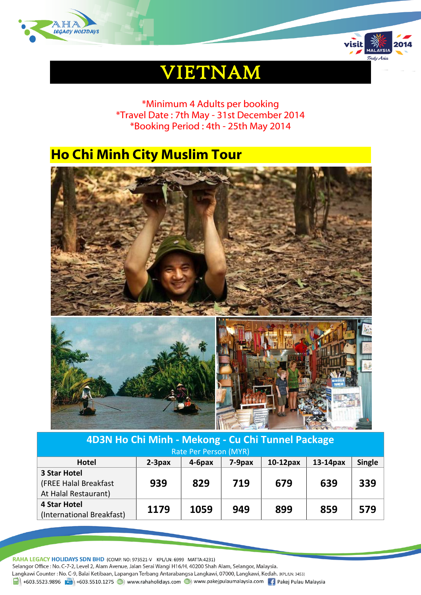



# VIETNAM

\*Minimum 4 Adults per booking \*Travel Date : 7th May - 31st December 2014 \*Booking Period : 4th - 25th May 2014

# **Ho Chi Minh City Muslim Tour**



| 4D3N Ho Chi Minh - Mekong - Cu Chi Tunnel Package |           |           |           |             |          |               |
|---------------------------------------------------|-----------|-----------|-----------|-------------|----------|---------------|
| Rate Per Person (MYR)                             |           |           |           |             |          |               |
| <b>Hotel</b>                                      | $2-3$ pax | $4-6$ pax | $7-9$ pax | $10-12$ pax | 13-14pax | <b>Single</b> |
| <b>3 Star Hotel</b>                               |           |           |           |             |          |               |
| (FREE Halal Breakfast                             | 939       | 829       | 719       | 679         | 639      | 339           |
| At Halal Restaurant)                              |           |           |           |             |          |               |
| <b>4 Star Hotel</b>                               | 1179      | 1059      | 949       | 899         | 859      | 579           |
| (International Breakfast)                         |           |           |           |             |          |               |

RAHA LEGACY HOLIDAYS SDN BHD (COMP. NO: 973521-V KPL/LN: 6999 MATTA:4231) Selangor Office : No. C-7-2, Level 2, Alam Avenue, Jalan Serai Wangi H16/H, 40200 Shah Alam, Selangor, Malaysia. Langkawi Counter: No. C-9, Balai Ketibaan, Lapangan Terbang Antarabangsa Langkawi, 07000, Langkawi, Kedah. (KPL/LN: 3453)  $\frac{1}{21}$  +603.5523.9896  $\frac{1}{21}$  +603.5510.1275  $\bigoplus$  www.rahaholidays.com  $\bigoplus$  www.pakejpulaumalaysia.com  $\bigoplus$  Pakej Pulau Malaysia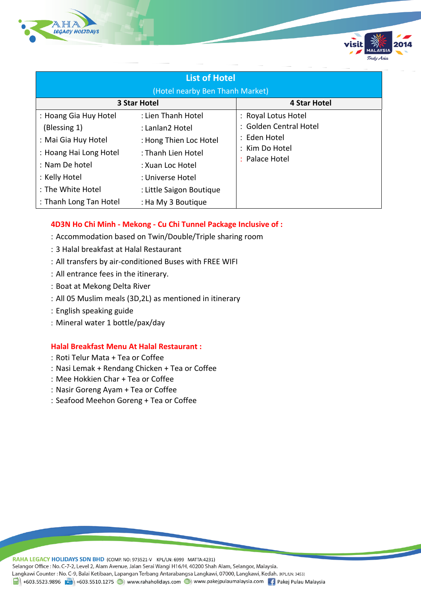



| <b>List of Hotel</b>            |                          |                        |  |  |  |  |  |
|---------------------------------|--------------------------|------------------------|--|--|--|--|--|
| (Hotel nearby Ben Thanh Market) |                          |                        |  |  |  |  |  |
|                                 | <b>3 Star Hotel</b>      | <b>4 Star Hotel</b>    |  |  |  |  |  |
| : Hoang Gia Huy Hotel           | : Lien Thanh Hotel       | : Royal Lotus Hotel    |  |  |  |  |  |
| (Blessing 1)                    | : Lanlan2 Hotel          | : Golden Central Hotel |  |  |  |  |  |
| : Mai Gia Huy Hotel             | : Hong Thien Loc Hotel   | : Eden Hotel           |  |  |  |  |  |
| : Hoang Hai Long Hotel          | : Thanh Lien Hotel       | : Kim Do Hotel         |  |  |  |  |  |
| : Nam De hotel                  | : Xuan Loc Hotel         | : Palace Hotel         |  |  |  |  |  |
| : Kelly Hotel                   | : Universe Hotel         |                        |  |  |  |  |  |
| : The White Hotel               | : Little Saigon Boutique |                        |  |  |  |  |  |
| : Thanh Long Tan Hotel          | : Ha My 3 Boutique       |                        |  |  |  |  |  |

### **4D3N Ho Chi Minh - Mekong - Cu Chi Tunnel Package Inclusive of :**

- Accommodation based on Twin/Double/Triple sharing room
- 3 Halal breakfast at Halal Restaurant
- All transfers by air-conditioned Buses with FREE WIFI
- All entrance fees in the itinerary.
- : Boat at Mekong Delta River
- All 05 Muslim meals (3D,2L) as mentioned in itinerary
- English speaking guide
- Mineral water 1 bottle/pax/day

#### **Halal Breakfast Menu At Halal Restaurant :**

- : Roti Telur Mata + Tea or Coffee
- Nasi Lemak + Rendang Chicken + Tea or Coffee
- : Mee Hokkien Char + Tea or Coffee
- Nasir Goreng Ayam + Tea or Coffee
- Seafood Meehon Goreng + Tea or Coffee

RAHA LEGACY HOLIDAYS SDN BHD (COMP. NO: 973521-V KPL/LN: 6999 MATTA:4231) Selangor Office : No. C-7-2, Level 2, Alam Avenue, Jalan Serai Wangi H16/H, 40200 Shah Alam, Selangor, Malaysia. Langkawi Counter : No. C-9, Balai Ketibaan, Lapangan Terbang Antarabangsa Langkawi, 07000, Langkawi, Kedah. (KPL/LN: 3453) 1988 +603.5523.9896 + +603.5510.1275 + +603.5510.1275 + +603.5510.1275 + +603.5510.1275 + +603.5510.1275 + +603.5510.1275 + +603.5510.1275 + +603.5510.1275 + +603.5510.1275 + +603.5510.1275 + +603.5510.1275 + +603.5510.127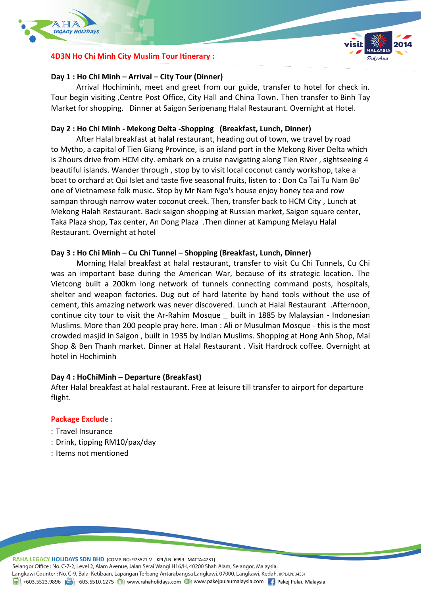

# **4D3N Ho Chi Minh City Muslim Tour Itinerary :**



# **Day 1 : Ho Chi Minh – Arrival – City Tour (Dinner)**

Arrival Hochiminh, meet and greet from our guide, transfer to hotel for check in. Tour begin visiting ,Centre Post Office, City Hall and China Town. Then transfer to Binh Tay Market for shopping. Dinner at Saigon Seripenang Halal Restaurant. Overnight at Hotel.

# **Day 2 : Ho Chi Minh - Mekong Delta -Shopping (Breakfast, Lunch, Dinner)**

After Halal breakfast at halal restaurant, heading out of town, we travel by road to Mytho, a capital of Tien Giang Province, is an island port in the Mekong River Delta which is 2hours drive from HCM city. embark on a cruise navigating along Tien River , sightseeing 4 beautiful islands. Wander through , stop by to visit local coconut candy workshop, take a boat to orchard at Qui Islet and taste five seasonal fruits, listen to : Don Ca Tai Tu Nam Bo' one of Vietnamese folk music. Stop by Mr Nam Ngo's house enjoy honey tea and row sampan through narrow water coconut creek. Then, transfer back to HCM City , Lunch at Mekong Halah Restaurant. Back saigon shopping at Russian market, Saigon square center, Taka Plaza shop, Tax center, An Dong Plaza .Then dinner at Kampung Melayu Halal Restaurant. Overnight at hotel

### **Day 3 : Ho Chi Minh – Cu Chi Tunnel – Shopping (Breakfast, Lunch, Dinner)**

Morning Halal breakfast at halal restaurant, transfer to visit Cu Chi Tunnels, Cu Chi was an important base during the American War, because of its strategic location. The Vietcong built a 200km long network of tunnels connecting command posts, hospitals, shelter and weapon factories. Dug out of hard laterite by hand tools without the use of cement, this amazing network was never discovered. Lunch at Halal Restaurant .Afternoon, continue city tour to visit the Ar-Rahim Mosque \_ built in 1885 by Malaysian - Indonesian Muslims. More than 200 people pray here. Iman : Ali or Musulman Mosque - this is the most crowded masjid in Saigon , built in 1935 by Indian Muslims. Shopping at Hong Anh Shop, Mai Shop & Ben Thanh market. Dinner at Halal Restaurant . Visit Hardrock coffee. Overnight at hotel in Hochiminh

### **Day 4 : HoChiMinh – Departure (Breakfast)**

After Halal breakfast at halal restaurant. Free at leisure till transfer to airport for departure flight.

# **Package Exclude :**

- Travel Insurance
- Drink, tipping RM10/pax/day
- : Items not mentioned

RAHA LEGACY HOLIDAYS SDN BHD (COMP. NO: 973521-V KPL/LN: 6999 MATTA:4231)

Selangor Office : No. C-7-2, Level 2, Alam Avenue, Jalan Serai Wangi H16/H, 40200 Shah Alam, Selangor, Malaysia.

Langkawi Counter: No. C-9, Balai Ketibaan, Lapangan Terbang Antarabangsa Langkawi, 07000, Langkawi, Kedah. (KPL/LN: 3453)

+603.5523.9896 + +603.5510.1275 + +603.5510.1275 + +603.5510.1275 + +603.5510.1275 + +603.5523.9896 + +603.5510.1275 + +603.5510.1275 + +603.5510.1275 + +603.5510.1275 + +603.5510.1275 + +603.5510.1275 + +603.5510.1275 + +